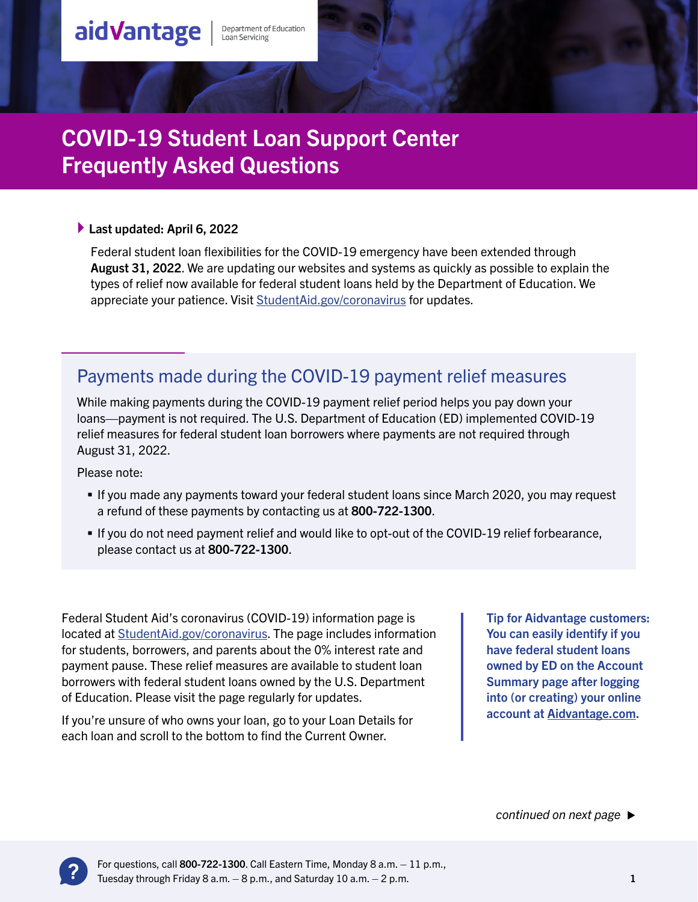Department of Education<br>Loan Servicing

#### ▶ Last updated: April 6, 2022

aidVantage

Federal student loan flexibilities for the COVID-19 emergency have been extended through August 31, 2022. We are updating our websites and systems as quickly as possible to explain the types of relief now available for federal student loans held by the Department of Education. We appreciate your patience. Visit [StudentAid.gov/coronavirus](http://StudentAid.gov/coronavirus) for updates.

## Payments made during the COVID-19 payment relief measures

While making payments during the COVID-19 payment relief period helps you pay down your loans—payment is not required. The U.S. Department of Education (ED) implemented COVID-19 relief measures for federal student loan borrowers where payments are not required through August 31, 2022.

Please note:

- If you made any payments toward your federal student loans since March 2020, you may request a refund of these payments by contacting us at 800-722-1300.
- If you do not need payment relief and would like to opt-out of the COVID-19 relief forbearance, please contact us at 800-722-1300.

Federal Student Aid's coronavirus (COVID-19) information page is located at [StudentAid.gov/coronavirus.](http://StudentAid.gov/coronavirus) The page includes information for students, borrowers, and parents about the 0% interest rate and payment pause. These relief measures are available to student loan borrowers with federal student loans owned by the U.S. Department of Education. Please visit the page regularly for updates.

If you're unsure of who owns your loan, go to your Loan Details for each loan and scroll to the bottom to find the Current Owner.

Tip for Aidvantage customers: You can easily identify if you have federal student loans owned by ED on the Account Summary page after logging into (or creating) your online account at [Aidvantage.com](http://Aidvantage.com).

*continued on next page*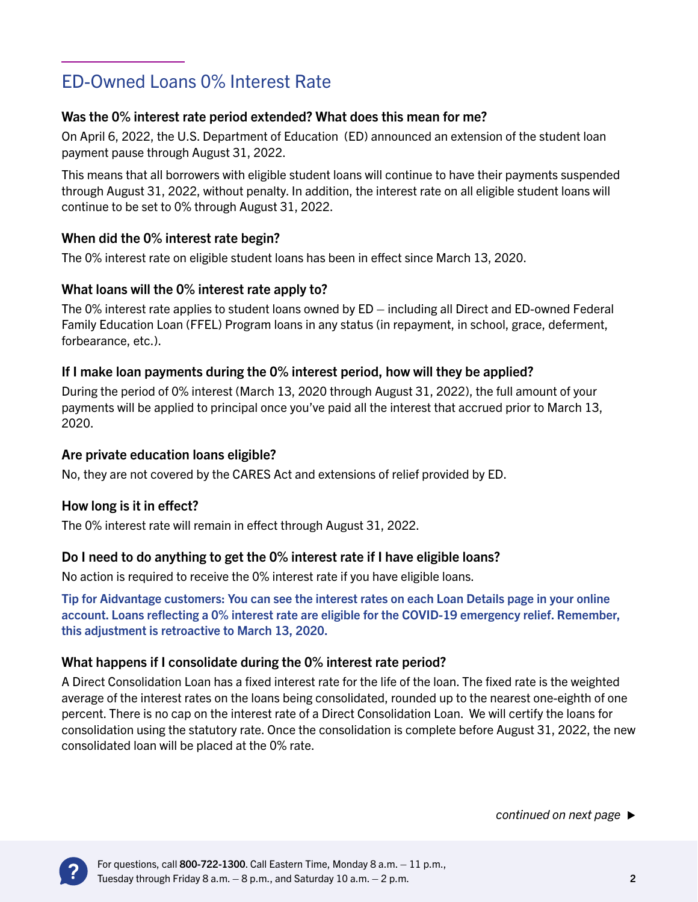# ED-Owned Loans 0% Interest Rate

## Was the 0% interest rate period extended? What does this mean for me?

On April 6, 2022, the U.S. Department of Education (ED) announced an extension of the student loan payment pause through August 31, 2022.

This means that all borrowers with eligible student loans will continue to have their payments suspended through August 31, 2022, without penalty. In addition, the interest rate on all eligible student loans will continue to be set to 0% through August 31, 2022.

#### When did the 0% interest rate begin?

The 0% interest rate on eligible student loans has been in effect since March 13, 2020.

#### What loans will the 0% interest rate apply to?

The 0% interest rate applies to student loans owned by ED – including all Direct and ED-owned Federal Family Education Loan (FFEL) Program loans in any status (in repayment, in school, grace, deferment, forbearance, etc.).

#### If I make loan payments during the 0% interest period, how will they be applied?

During the period of 0% interest (March 13, 2020 through August 31, 2022), the full amount of your payments will be applied to principal once you've paid all the interest that accrued prior to March 13, 2020.

#### Are private education loans eligible?

No, they are not covered by the CARES Act and extensions of relief provided by ED.

#### How long is it in effect?

The 0% interest rate will remain in effect through August 31, 2022.

## Do I need to do anything to get the 0% interest rate if I have eligible loans?

No action is required to receive the 0% interest rate if you have eligible loans.

Tip for Aidvantage customers: You can see the interest rates on each Loan Details page in your online account. Loans reflecting a 0% interest rate are eligible for the COVID-19 emergency relief. Remember, this adjustment is retroactive to March 13, 2020.

## What happens if I consolidate during the 0% interest rate period?

A Direct Consolidation Loan has a fixed interest rate for the life of the loan. The fixed rate is the weighted average of the interest rates on the loans being consolidated, rounded up to the nearest one-eighth of one percent. There is no cap on the interest rate of a Direct Consolidation Loan. We will certify the loans for consolidation using the statutory rate. Once the consolidation is complete before August 31, 2022, the new consolidated loan will be placed at the 0% rate.

*continued on next page*

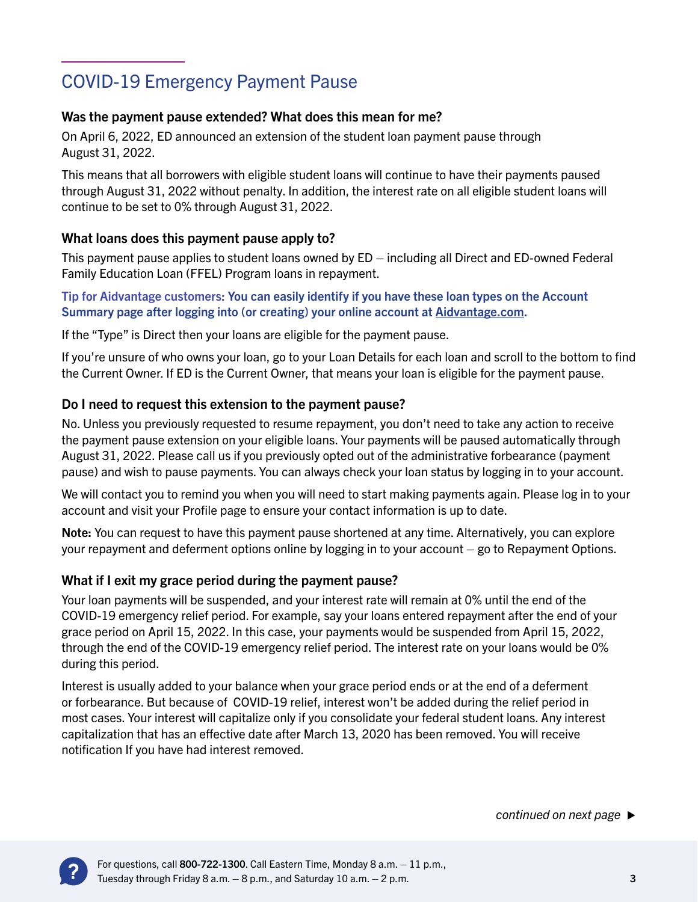# COVID-19 Emergency Payment Pause

## Was the payment pause extended? What does this mean for me?

On April 6, 2022, ED announced an extension of the student loan payment pause through August 31, 2022.

This means that all borrowers with eligible student loans will continue to have their payments paused through August 31, 2022 without penalty. In addition, the interest rate on all eligible student loans will continue to be set to 0% through August 31, 2022.

#### What loans does this payment pause apply to?

This payment pause applies to student loans owned by ED – including all Direct and ED-owned Federal Family Education Loan (FFEL) Program loans in repayment.

Tip for Aidvantage customers: You can easily identify if you have these loan types on the Account Summary page after logging into (or creating) your online account at [Aidvantage.com.](http://Aidvantage.com)

If the "Type" is Direct then your loans are eligible for the payment pause.

If you're unsure of who owns your loan, go to your Loan Details for each loan and scroll to the bottom to find the Current Owner. If ED is the Current Owner, that means your loan is eligible for the payment pause.

#### Do I need to request this extension to the payment pause?

No. Unless you previously requested to resume repayment, you don't need to take any action to receive the payment pause extension on your eligible loans. Your payments will be paused automatically through August 31, 2022. Please call us if you previously opted out of the administrative forbearance (payment pause) and wish to pause payments. You can always check your loan status by logging in to your account.

We will contact you to remind you when you will need to start making payments again. Please log in to your account and visit your Profile page to ensure your contact information is up to date.

Note: You can request to have this payment pause shortened at any time. Alternatively, you can explore your repayment and deferment options online by logging in to your account – go to Repayment Options.

#### What if I exit my grace period during the payment pause?

Your loan payments will be suspended, and your interest rate will remain at 0% until the end of the COVID-19 emergency relief period. For example, say your loans entered repayment after the end of your grace period on April 15, 2022. In this case, your payments would be suspended from April 15, 2022, through the end of the COVID-19 emergency relief period. The interest rate on your loans would be 0% during this period.

Interest is usually added to your balance when your grace period ends or at the end of a deferment or forbearance. But because of COVID-19 relief, interest won't be added during the relief period in most cases. Your interest will capitalize only if you consolidate your federal student loans. Any interest capitalization that has an effective date after March 13, 2020 has been removed. You will receive notification If you have had interest removed.

*continued on next page*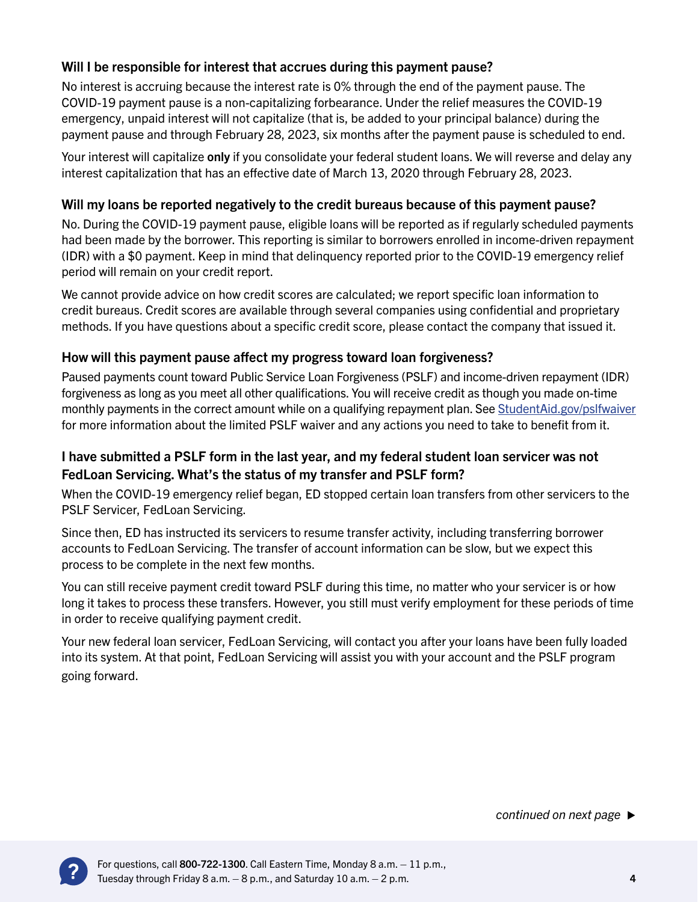#### Will I be responsible for interest that accrues during this payment pause?

No interest is accruing because the interest rate is 0% through the end of the payment pause. The COVID-19 payment pause is a non-capitalizing forbearance. Under the relief measures the COVID-19 emergency, unpaid interest will not capitalize (that is, be added to your principal balance) during the payment pause and through February 28, 2023, six months after the payment pause is scheduled to end.

Your interest will capitalize only if you consolidate your federal student loans. We will reverse and delay any interest capitalization that has an effective date of March 13, 2020 through February 28, 2023.

#### Will my loans be reported negatively to the credit bureaus because of this payment pause?

No. During the COVID-19 payment pause, eligible loans will be reported as if regularly scheduled payments had been made by the borrower. This reporting is similar to borrowers enrolled in income-driven repayment (IDR) with a \$0 payment. Keep in mind that delinquency reported prior to the COVID-19 emergency relief period will remain on your credit report.

We cannot provide advice on how credit scores are calculated; we report specific loan information to credit bureaus. Credit scores are available through several companies using confidential and proprietary methods. If you have questions about a specific credit score, please contact the company that issued it.

#### How will this payment pause affect my progress toward loan forgiveness?

Paused payments count toward Public Service Loan Forgiveness (PSLF) and income-driven repayment (IDR) forgiveness as long as you meet all other qualifications. You will receive credit as though you made on-time monthly payments in the correct amount while on a qualifying repayment plan. See [StudentAid.gov/pslfwaiver](http://StudentAid.gov/pslfwaiver) for more information about the limited PSLF waiver and any actions you need to take to benefit from it.

#### I have submitted a PSLF form in the last year, and my federal student loan servicer was not FedLoan Servicing. What's the status of my transfer and PSLF form?

When the COVID-19 emergency relief began, ED stopped certain loan transfers from other servicers to the PSLF Servicer, FedLoan Servicing.

Since then, ED has instructed its servicers to resume transfer activity, including transferring borrower accounts to FedLoan Servicing. The transfer of account information can be slow, but we expect this process to be complete in the next few months.

You can still receive payment credit toward PSLF during this time, no matter who your servicer is or how long it takes to process these transfers. However, you still must verify employment for these periods of time in order to receive qualifying payment credit.

Your new federal loan servicer, FedLoan Servicing, will contact you after your loans have been fully loaded into its system. At that point, FedLoan Servicing will assist you with your account and the PSLF program going forward.

*continued on next page*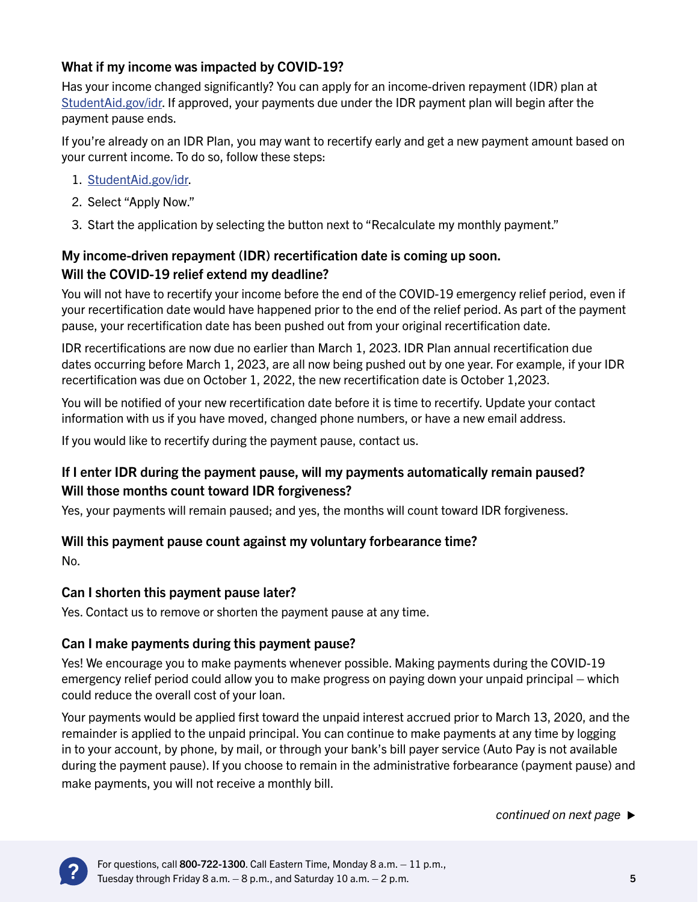## What if my income was impacted by COVID-19?

Has your income changed significantly? You can apply for an income-driven repayment (IDR) plan at [StudentAid.gov/idr](http://StudentAid.gov/idr). If approved, your payments due under the IDR payment plan will begin after the payment pause ends.

If you're already on an IDR Plan, you may want to recertify early and get a new payment amount based on your current income. To do so, follow these steps:

- 1. [StudentAid.gov/idr](http://StudentAid.gov/idr).
- 2. Select "Apply Now."
- 3. Start the application by selecting the button next to "Recalculate my monthly payment."

## My income-driven repayment (IDR) recertification date is coming up soon. Will the COVID-19 relief extend my deadline?

You will not have to recertify your income before the end of the COVID-19 emergency relief period, even if your recertification date would have happened prior to the end of the relief period. As part of the payment pause, your recertification date has been pushed out from your original recertification date.

IDR recertifications are now due no earlier than March 1, 2023. IDR Plan annual recertification due dates occurring before March 1, 2023, are all now being pushed out by one year. For example, if your IDR recertification was due on October 1, 2022, the new recertification date is October 1,2023.

You will be notified of your new recertification date before it is time to recertify. Update your contact information with us if you have moved, changed phone numbers, or have a new email address.

If you would like to recertify during the payment pause, contact us.

## If I enter IDR during the payment pause, will my payments automatically remain paused? Will those months count toward IDR forgiveness?

Yes, your payments will remain paused; and yes, the months will count toward IDR forgiveness.

## Will this payment pause count against my voluntary forbearance time?

No.

## Can I shorten this payment pause later?

Yes. Contact us to remove or shorten the payment pause at any time.

## Can I make payments during this payment pause?

Yes! We encourage you to make payments whenever possible. Making payments during the COVID-19 emergency relief period could allow you to make progress on paying down your unpaid principal – which could reduce the overall cost of your loan.

Your payments would be applied first toward the unpaid interest accrued prior to March 13, 2020, and the remainder is applied to the unpaid principal. You can continue to make payments at any time by logging in to your account, by phone, by mail, or through your bank's bill payer service (Auto Pay is not available during the payment pause). If you choose to remain in the administrative forbearance (payment pause) and make payments, you will not receive a monthly bill.

*continued on next page*